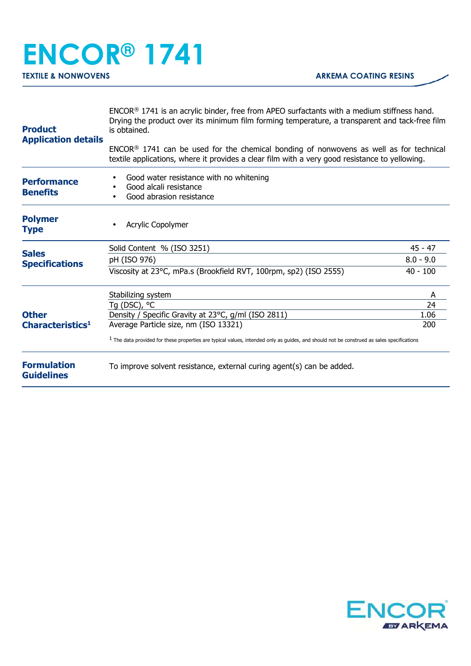## **ENCOR® 1741 TEXTILE & NONWOVENS ARKEMA COATING RESINS**

| <b>Product</b><br><b>Application details</b> | $ENCOR®$ 1741 is an acrylic binder, free from APEO surfactants with a medium stiffness hand.<br>Drying the product over its minimum film forming temperature, a transparent and tack-free film<br>is obtained. |             |
|----------------------------------------------|----------------------------------------------------------------------------------------------------------------------------------------------------------------------------------------------------------------|-------------|
|                                              | $ENCOR®$ 1741 can be used for the chemical bonding of nonwovens as well as for technical<br>textile applications, where it provides a clear film with a very good resistance to yellowing.                     |             |
| <b>Performance</b><br><b>Benefits</b>        | Good water resistance with no whitening<br>Good alcali resistance<br>Good abrasion resistance                                                                                                                  |             |
| <b>Polymer</b><br><b>Type</b>                | Acrylic Copolymer                                                                                                                                                                                              |             |
| <b>Sales</b><br><b>Specifications</b>        | Solid Content % (ISO 3251)                                                                                                                                                                                     | $45 - 47$   |
|                                              | pH (ISO 976)                                                                                                                                                                                                   | $8.0 - 9.0$ |
|                                              | Viscosity at 23°C, mPa.s (Brookfield RVT, 100rpm, sp2) (ISO 2555)                                                                                                                                              | $40 - 100$  |
| <b>Other</b><br>Characteristics <sup>1</sup> | Stabilizing system                                                                                                                                                                                             | A           |
|                                              | Tg (DSC), °C                                                                                                                                                                                                   | 24          |
|                                              | Density / Specific Gravity at 23°C, g/ml (ISO 2811)                                                                                                                                                            | 1.06        |
|                                              | Average Particle size, nm (ISO 13321)                                                                                                                                                                          | 200         |
|                                              | $1$ The data provided for these properties are typical values, intended only as guides, and should not be construed as sales specifications                                                                    |             |
| <b>Formulation</b><br><b>Guidelines</b>      | To improve solvent resistance, external curing agent(s) can be added.                                                                                                                                          |             |